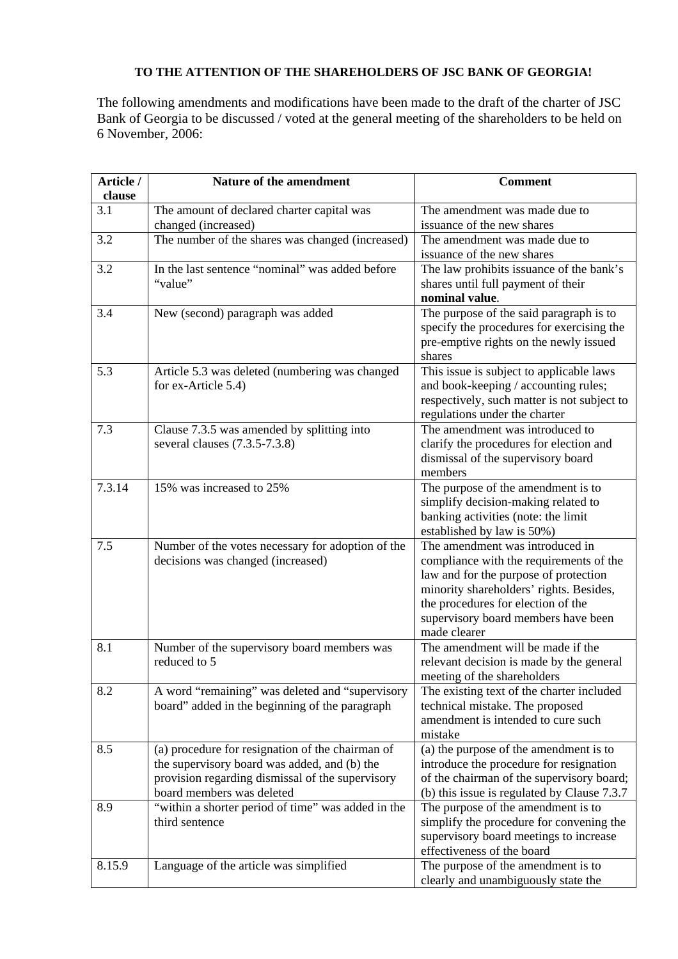## **TO THE ATTENTION OF THE SHAREHOLDERS OF JSC BANK OF GEORGIA!**

The following amendments and modifications have been made to the draft of the charter of JSC Bank of Georgia to be discussed / voted at the general meeting of the shareholders to be held on 6 November, 2006:

| Article /<br>clause | Nature of the amendment                            | <b>Comment</b>                                                        |
|---------------------|----------------------------------------------------|-----------------------------------------------------------------------|
| 3.1                 | The amount of declared charter capital was         | The amendment was made due to                                         |
|                     | changed (increased)                                | issuance of the new shares                                            |
| 3.2                 | The number of the shares was changed (increased)   | The amendment was made due to                                         |
|                     |                                                    | issuance of the new shares                                            |
| 3.2                 | In the last sentence "nominal" was added before    | The law prohibits issuance of the bank's                              |
|                     | "value"                                            | shares until full payment of their                                    |
|                     |                                                    | nominal value.                                                        |
| 3.4                 | New (second) paragraph was added                   | The purpose of the said paragraph is to                               |
|                     |                                                    | specify the procedures for exercising the                             |
|                     |                                                    | pre-emptive rights on the newly issued                                |
|                     |                                                    | shares                                                                |
| 5.3                 | Article 5.3 was deleted (numbering was changed     | This issue is subject to applicable laws                              |
|                     | for ex-Article 5.4)                                | and book-keeping / accounting rules;                                  |
|                     |                                                    | respectively, such matter is not subject to                           |
|                     |                                                    | regulations under the charter                                         |
| 7.3                 | Clause 7.3.5 was amended by splitting into         | The amendment was introduced to                                       |
|                     | several clauses (7.3.5-7.3.8)                      | clarify the procedures for election and                               |
|                     |                                                    | dismissal of the supervisory board<br>members                         |
| 7.3.14              | 15% was increased to 25%                           | The purpose of the amendment is to                                    |
|                     |                                                    | simplify decision-making related to                                   |
|                     |                                                    | banking activities (note: the limit                                   |
|                     |                                                    | established by law is 50%)                                            |
| 7.5                 | Number of the votes necessary for adoption of the  | The amendment was introduced in                                       |
|                     | decisions was changed (increased)                  | compliance with the requirements of the                               |
|                     |                                                    | law and for the purpose of protection                                 |
|                     |                                                    | minority shareholders' rights. Besides,                               |
|                     |                                                    | the procedures for election of the                                    |
|                     |                                                    | supervisory board members have been                                   |
|                     |                                                    | made clearer                                                          |
| 8.1                 | Number of the supervisory board members was        | The amendment will be made if the                                     |
|                     | reduced to 5                                       | relevant decision is made by the general                              |
|                     |                                                    | meeting of the shareholders                                           |
| 8.2                 | A word "remaining" was deleted and "supervisory    | The existing text of the charter included                             |
|                     | board" added in the beginning of the paragraph     | technical mistake. The proposed<br>amendment is intended to cure such |
|                     |                                                    | mistake                                                               |
| 8.5                 | (a) procedure for resignation of the chairman of   | (a) the purpose of the amendment is to                                |
|                     | the supervisory board was added, and (b) the       | introduce the procedure for resignation                               |
|                     | provision regarding dismissal of the supervisory   | of the chairman of the supervisory board;                             |
|                     | board members was deleted                          | (b) this issue is regulated by Clause 7.3.7                           |
| 8.9                 | "within a shorter period of time" was added in the | The purpose of the amendment is to                                    |
|                     | third sentence                                     | simplify the procedure for convening the                              |
|                     |                                                    | supervisory board meetings to increase                                |
|                     |                                                    | effectiveness of the board                                            |
| 8.15.9              | Language of the article was simplified             | The purpose of the amendment is to                                    |
|                     |                                                    | clearly and unambiguously state the                                   |